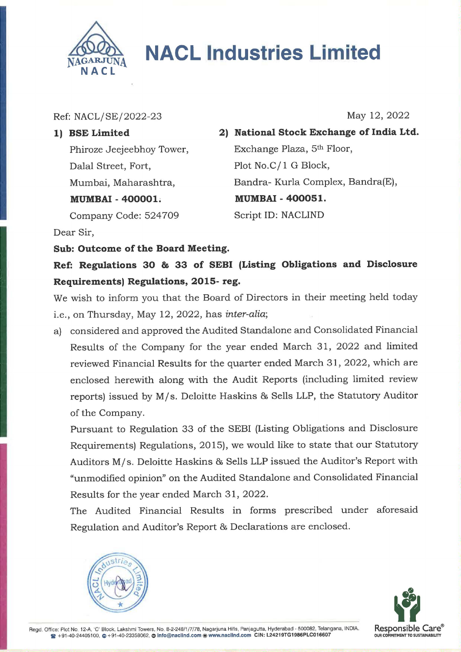

## **NACL Industries Limited**

Ref: NACL/SE/2022-23 May 12, 2022

Dalal Street, Fort, Plot No.C/1 G Block, MUMBAI - 400001. MUMBAI - 400051.

1) BSE Limited 2) National Stock Exchange of India Ltd. Phiroze Jeejeebhoy Tower, Exchange Plaza, 5<sup>th</sup> Floor, Mumbai, Maharashtra, Bandra- Kurla Complex, Bandra(E), Company Code: 524709 Script ID: NACLIND

Dear Sir,

## Sub: Outcome of the Board Meeting.

Ref: Regulations 30 & 33 of SEBI (Listing Obligations and Disclosure Requirements) Regulations, 2015- reg.

We wish to inform you that the Board of Directors in their meeting held today i.e., on Thursday, May 12, 2022, has inter-alia;

a) considered and approved the Audited Standalone and Consolidated Financial Results of the Company for the year ended March 31, 2022 and limited reviewed Financial Results for the quarter ended March 31, 2022, which are enclosed herewith along with the Audit Reports (including limited review reports) issued by M/s. Deloitte Haskins & Sells LLP, the Statutory Auditor of the Company.

Pursuant to Regulation 33 of the SEBI (Listing Obligations and Disclosure Requirements) Regulations, 2015), we would like to state that our Statutory Auditors M/s. Deloitte Haskins & Sells LLP issued the Auditor's Report with "unmodified opinion" on the Audited Standalone and Consolidated Financial Results for the year ended March 31, 2022.

The Audited Financial Results in forms prescribed under aforesaid Regulation and Auditor's Report & Declarations are enclosed.





Regd. Office: Plot No. 12-A, 'C' Block, Lakshmi Towers, No. 8-2-248/1/7/78, Nagarjuna Hills, Panjagutta, Hyderabad - 500082, Telangana, INDIA. Responsible Care®  $\bigotimes$  +91-40-24405100, △ +91-40-23358062, △ Info@naclind.com ● www.naclind.com CIN: L24219TG1986PLC016607 OUR COMMITMENT TO SUSTAINABILITY